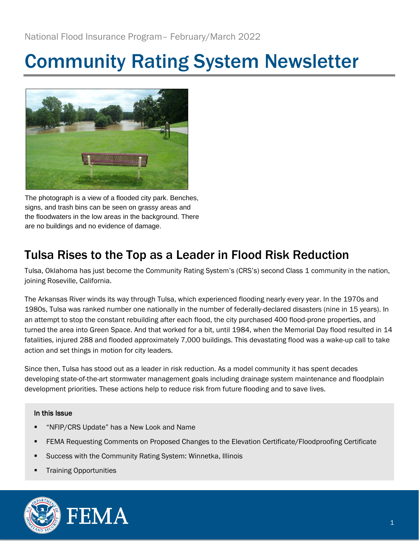# Community Rating System Newsletter



The photograph is a view of a flooded city park. Benches, signs, and trash bins can be seen on grassy areas and the floodwaters in the low areas in the background. There are no buildings and no evidence of damage.

### Tulsa Rises to the Top as a Leader in Flood Risk Reduction

Tulsa, Oklahoma has just become the Community Rating System's (CRS's) second Class 1 community in the nation, joining Roseville, California.

The Arkansas River winds its way through Tulsa, which experienced flooding nearly every year. In the 1970s and 1980s, Tulsa was ranked number one nationally in the number of federally-declared disasters (nine in 15 years). In an attempt to stop the constant rebuilding after each flood, the city purchased 400 flood-prone properties, and turned the area into Green Space. And that worked for a bit, until 1984, when the Memorial Day flood resulted in 14 fatalities, injured 288 and flooded approximately 7,000 buildings. This devastating flood was a wake-up call to take action and set things in motion for city leaders.

Since then, Tulsa has stood out as a leader in risk reduction. As a model community it has spent decades developing state-of-the-art stormwater management goals including drainage system maintenance and floodplain development priorities. These actions help to reduce risk from future flooding and to save lives.

### In this Issue

- "NFIP/CRS Update" has a New Look and Name
- FEMA Requesting Comments on Proposed Changes to the Elevation Certificate/Floodproofing Certificate
- Success with the Community Rating System: Winnetka, Illinois
- **Training Opportunities**



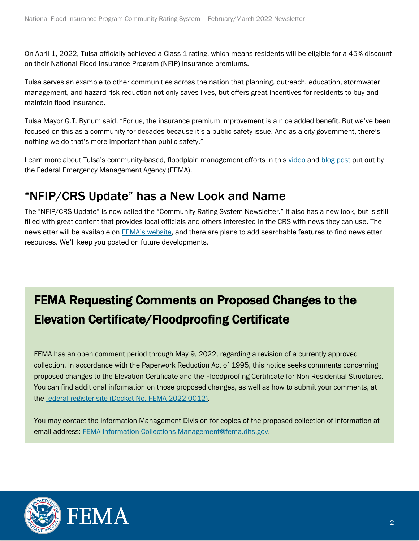On April 1, 2022, Tulsa officially achieved a Class 1 rating, which means residents will be eligible for a 45% discount on their National Flood Insurance Program (NFIP) insurance premiums.

Tulsa serves an example to other communities across the nation that planning, outreach, education, stormwater management, and hazard risk reduction not only saves lives, but offers great incentives for residents to buy and maintain flood insurance.

Tulsa Mayor G.T. Bynum said, "For us, the insurance premium improvement is a nice added benefit. But we've been focused on this as a community for decades because it's a public safety issue. And as a city government, there's nothing we do that's more important than public safety."

Learn more about Tulsa's community-based, floodplain management efforts in this [video](https://www.youtube.com/watch?v=VOR8chKKO-0) and [blog post](https://www.fema.gov/blog/city-tulsa-rises-top-leader-risk-reduction) put out by the Federal Emergency Management Agency (FEMA).

### "NFIP/CRS Update" has a New Look and Name

The "NFIP/CRS Update" is now called the "Community Rating System Newsletter." It also has a new look, but is still filled with great content that provides local officials and others interested in the CRS with news they can use. The newsletter will be available on FEMA's [website,](https://www.fema.gov/) and there are plans to add searchable features to find newsletter resources. We'll keep you posted on future developments.

# FEMA Requesting Comments on Proposed Changes to the Elevation Certificate/Floodproofing Certificate

FEMA has an open comment period through May 9, 2022, regarding a revision of a currently approved collection. In accordance with the Paperwork Reduction Act of 1995, this notice seeks comments concerning proposed changes to the Elevation Certificate and the Floodproofing Certificate for Non-Residential Structures. You can find additional information on those proposed changes, as well as how to submit your comments, at the [federal register site \(Docket No. FEMA-2022-0012\).](https://www.federalregister.gov/documents/2022/03/10/2022-05115/agency-information-collection-activities-proposed-collection-comment-request-elevation)

You may contact the Information Management Division for copies of the proposed collection of information at email address: [FEMA-Information-Collections-Management@fema.dhs.gov.](mailto:FEMA-Information-Collections-Management@fema.dhs.gov)



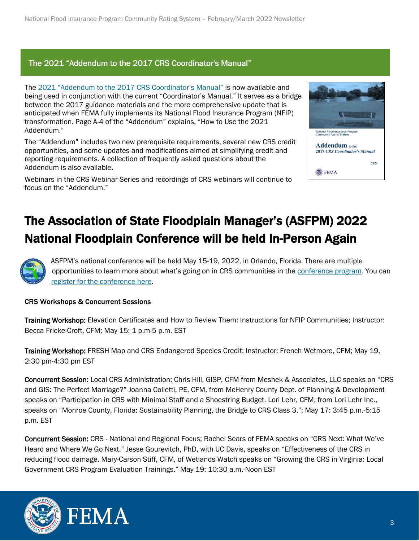### The 2021 "Addendum to the 2017 CRS Coordinator's Manual"

The [2021 "Addendum to the 2017 CRS Coordinator's Manual"](https://www.fema.gov/sites/default/files/documents/fema_community-rating-system_coordinator-manual_addendum-2021.pdf) is now available and being used in conjunction with the current "Coordinator's Manual." It serves as a bridge between the 2017 guidance materials and the more comprehensive update that is anticipated when FEMA fully implements its National Flood Insurance Program (NFIP) transformation. Page A-4 of the "Addendum" explains, "How to Use the 2021 Addendum."

The "Addendum" includes two new prerequisite requirements, several new CRS credit opportunities, and some updates and modifications aimed at simplifying credit and reporting requirements. A collection of frequently asked questions about the Addendum is also available.

Webinars in the CRS Webinar Series and recordings of CRS webinars will continue to focus on the "Addendum."



## The Association of State Floodplain Manager's (ASFPM) 2022 National Floodplain Conference will be held In-Person Again



ASFPM's national conference will be held May 15-19, 2022, in Orlando, Florida. There are multiple opportunities to learn more about what's going on in CRS communities in the [conference program.](https://www.floods.org/conference/program/program-schedule/) You can [register for the conference here.](https://www.floods.org/conference/registration/)

#### CRS Workshops & Concurrent Sessions

Training Workshop: Elevation Certificates and How to Review Them: Instructions for NFIP Communities; Instructor: Becca Fricke-Croft, CFM; May 15: 1 p.m-5 p.m. EST

Training Workshop: FRESH Map and CRS Endangered Species Credit; Instructor: French Wetmore, CFM; May 19, 2:30 pm-4:30 pm EST

Concurrent Session: Local CRS Administration; Chris Hill, GISP, CFM from Meshek & Associates, LLC speaks on "CRS and GIS: The Perfect Marriage?" Joanna Colletti, PE, CFM, from McHenry County Dept. of Planning & Development speaks on "Participation in CRS with Minimal Staff and a Shoestring Budget. Lori Lehr, CFM, from Lori Lehr Inc., speaks on "Monroe County, Florida: Sustainability Planning, the Bridge to CRS Class 3."; May 17: 3:45 p.m.-5:15 p.m. EST

Concurrent Session: CRS - National and Regional Focus; Rachel Sears of FEMA speaks on "CRS Next: What We've Heard and Where We Go Next." Jesse Gourevitch, PhD, with UC Davis, speaks on "Effectiveness of the CRS in reducing flood damage. Mary-Carson Stiff, CFM, of Wetlands Watch speaks on "Growing the CRS in Virginia: Local Government CRS Program Evaluation Trainings." May 19: 10:30 a.m.-Noon EST



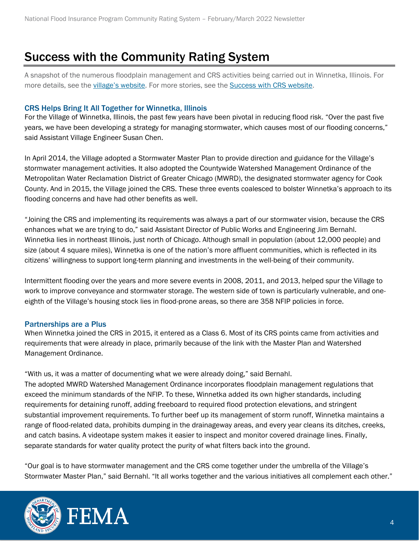### Success with the Community Rating System

A snapshot of the numerous floodplain management and CRS activities being carried out in Winnetka, Illinois. For more details, see the village['s website](https://www.villageofwinnetka.org/). For more stories, see the [Success with CRS website.](https://successwithcrs.us/)

#### CRS Helps Bring It All Together for Winnetka, Illinois

For the Village of Winnetka, Illinois, the past few years have been pivotal in reducing flood risk. "Over the past five years, we have been developing a strategy for managing stormwater, which causes most of our flooding concerns," said Assistant Village Engineer Susan Chen.

In April 2014, the Village adopted a Stormwater Master Plan to provide direction and guidance for the Village's stormwater management activities. It also adopted the Countywide Watershed Management Ordinance of the Metropolitan Water Reclamation District of Greater Chicago (MWRD), the designated stormwater agency for Cook County. And in 2015, the Village joined the CRS. These three events coalesced to bolster Winnetka's approach to its flooding concerns and have had other benefits as well.

"Joining the CRS and implementing its requirements was always a part of our stormwater vision, because the CRS enhances what we are trying to do," said Assistant Director of Public Works and Engineering Jim Bernahl. Winnetka lies in northeast Illinois, just north of Chicago. Although small in population (about 12,000 people) and size (about 4 square miles), Winnetka is one of the nation's more affluent communities, which is reflected in its citizens' willingness to support long-term planning and investments in the well-being of their community.

Intermittent flooding over the years and more severe events in 2008, 2011, and 2013, helped spur the Village to work to improve conveyance and stormwater storage. The western side of town is particularly vulnerable, and oneeighth of the Village's housing stock lies in flood-prone areas, so there are 358 NFIP policies in force.

#### Partnerships are a Plus

When Winnetka joined the CRS in 2015, it entered as a Class 6. Most of its CRS points came from activities and requirements that were already in place, primarily because of the link with the Master Plan and Watershed Management Ordinance.

"With us, it was a matter of documenting what we were already doing," said Bernahl. The adopted MWRD Watershed Management Ordinance incorporates floodplain management regulations that exceed the minimum standards of the NFIP. To these, Winnetka added its own higher standards, including requirements for detaining runoff, adding freeboard to required flood protection elevations, and stringent substantial improvement requirements. To further beef up its management of storm runoff, Winnetka maintains a range of flood-related data, prohibits dumping in the drainageway areas, and every year cleans its ditches, creeks, and catch basins. A videotape system makes it easier to inspect and monitor covered drainage lines. Finally, separate standards for water quality protect the purity of what filters back into the ground.

"Our goal is to have stormwater management and the CRS come together under the umbrella of the Village's Stormwater Master Plan," said Bernahl. "It all works together and the various initiatives all complement each other."



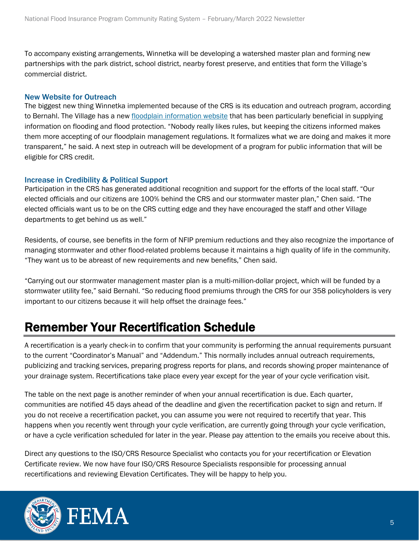To accompany existing arrangements, Winnetka will be developing a watershed master plan and forming new partnerships with the park district, school district, nearby forest preserve, and entities that form the Village's commercial district.

### New Website for Outreach

The biggest new thing Winnetka implemented because of the CRS is its education and outreach program, according to Bernahl. The Village has a new [floodplain information](https://www.villageofwinnetka.org/222/Flood-Plain-Information) website that has been particularly beneficial in supplying information on flooding and flood protection. "Nobody really likes rules, but keeping the citizens informed makes them more accepting of our floodplain management regulations. It formalizes what we are doing and makes it more transparent," he said. A next step in outreach will be development of a program for public information that will be eligible for CRS credit.

#### Increase in Credibility & Political Support

Participation in the CRS has generated additional recognition and support for the efforts of the local staff. "Our elected officials and our citizens are 100% behind the CRS and our stormwater master plan," Chen said. "The elected officials want us to be on the CRS cutting edge and they have encouraged the staff and other Village departments to get behind us as well."

Residents, of course, see benefits in the form of NFIP premium reductions and they also recognize the importance of managing stormwater and other flood-related problems because it maintains a high quality of life in the community. "They want us to be abreast of new requirements and new benefits," Chen said.

"Carrying out our stormwater management master plan is a multi-million-dollar project, which will be funded by a stormwater utility fee," said Bernahl. "So reducing flood premiums through the CRS for our 358 policyholders is very important to our citizens because it will help offset the drainage fees."

### Remember Your Recertification Schedule

A recertification is a yearly check-in to confirm that your community is performing the annual requirements pursuant to the current "Coordinator's Manual" and "Addendum." This normally includes annual outreach requirements, publicizing and tracking services, preparing progress reports for plans, and records showing proper maintenance of your drainage system. Recertifications take place every year except for the year of your cycle verification visit.

The table on the next page is another reminder of when your annual recertification is due. Each quarter, communities are notified 45 days ahead of the deadline and given the recertification packet to sign and return. If you do not receive a recertification packet, you can assume you were not required to recertify that year. This happens when you recently went through your cycle verification, are currently going through your cycle verification, or have a cycle verification scheduled for later in the year. Please pay attention to the emails you receive about this.

Direct any questions to the ISO/CRS Resource Specialist who contacts you for your recertification or Elevation Certificate review. We now have four ISO/CRS Resource Specialists responsible for processing annual recertifications and reviewing Elevation Certificates. They will be happy to help you.



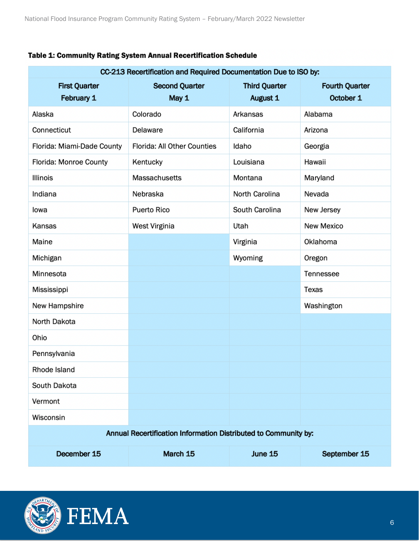| CC-213 Recertification and Required Documentation Due to ISO by: |                                |                                  |                                    |
|------------------------------------------------------------------|--------------------------------|----------------------------------|------------------------------------|
| <b>First Quarter</b><br>February 1                               | <b>Second Quarter</b><br>May 1 | <b>Third Quarter</b><br>August 1 | <b>Fourth Quarter</b><br>October 1 |
| Alaska                                                           | Colorado                       | Arkansas                         | Alabama                            |
| Connecticut                                                      | Delaware                       | California                       | Arizona                            |
| Florida: Miami-Dade County                                       | Florida: All Other Counties    | Idaho                            | Georgia                            |
| Florida: Monroe County                                           | Kentucky                       | Louisiana                        | Hawaii                             |
| Illinois                                                         | Massachusetts                  | Montana                          | Maryland                           |
| Indiana                                                          | Nebraska                       | North Carolina                   | Nevada                             |
| lowa                                                             | Puerto Rico                    | South Carolina                   | New Jersey                         |
| Kansas                                                           | West Virginia                  | Utah                             | New Mexico                         |
| Maine                                                            |                                | Virginia                         | Oklahoma                           |
| Michigan                                                         |                                | Wyoming                          | Oregon                             |
| Minnesota                                                        |                                |                                  | Tennessee                          |
| Mississippi                                                      |                                |                                  | <b>Texas</b>                       |
| New Hampshire                                                    |                                |                                  | Washington                         |
| North Dakota                                                     |                                |                                  |                                    |
| Ohio                                                             |                                |                                  |                                    |
| Pennsylvania                                                     |                                |                                  |                                    |
| Rhode Island                                                     |                                |                                  |                                    |
| South Dakota                                                     |                                |                                  |                                    |
| Vermont                                                          |                                |                                  |                                    |
| Wisconsin                                                        |                                |                                  |                                    |
| Annual Recertification Information Distributed to Community by:  |                                |                                  |                                    |
| December 15                                                      | March 15                       | June 15                          | September 15                       |

### Table 1: Community Rating System Annual Recertification Schedule



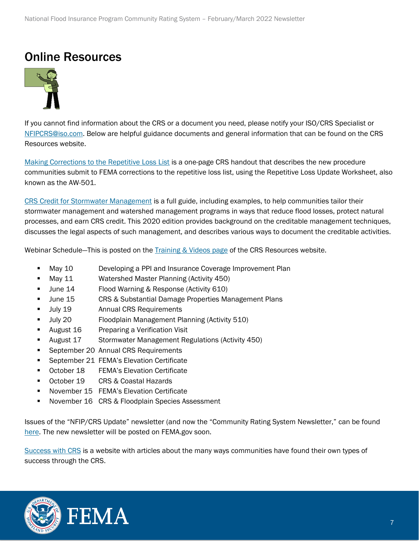### Online Resources



If you cannot find information about the CRS or a document you need, please notify your ISO/CRS Specialist or [NFIPCRS@iso.com.](mailto:NFIPCRS@iso.com) Below are helpful guidance documents and general information that can be found on the CRS Resources website.

[Making Corrections to the Repetitive Loss List](https://crsresources.org/files/500/making_corrections_to_the_repetitive_loss_list.pdf) is a one-page CRS handout that describes the new procedure communities submit to FEMA corrections to the repetitive loss list, using the Repetitive Loss Update Worksheet, also known as the AW-501.

[CRS Credit for Stormwater Management](https://crsresources.org/files/400/450_crs_credit_for_stormwater_management.pdf) is a full guide, including examples, to help communities tailor their stormwater management and watershed management programs in ways that reduce flood losses, protect natural processes, and earn CRS credit. This 2020 edition provides background on the creditable management techniques, discusses the legal aspects of such management, and describes various ways to document the creditable activities.

Webinar Schedule—This is posted on the [Training & Videos page](https://crsresources.org/training/) of the CRS Resources website.

- **■** May 10 Developing a PPI and Insurance Coverage Improvement Plan
- May 11 Watershed Master Planning (Activity 450)
- June 14 Flood Warning & Response (Activity 610)
- June 15 CRS & Substantial Damage Properties Management Plans
- July 19 Annual CRS Requirements
- July 20 Floodplain Management Planning (Activity 510)
- August 16 Preparing a Verification Visit
- August 17 Stormwater Management Regulations (Activity 450)
- September 20 Annual CRS Requirements
- September 21 FEMA's Elevation Certificate
- October 18 FEMA's Elevation Certificate
- October 19 CRS & Coastal Hazards
- November 15 FEMA's Elevation Certificate
- November 16 CRS & Floodplain Species Assessment

Issues of the "NFIP/CRS Update" newsletter (and now the "Community Rating System Newsletter," can be found [here.](https://crsresources.org/100-2/) The new newsletter will be posted on FEMA.gov soon.

[Success with CRS](https://successwithcrs.us/) is a website with articles about the many ways communities have found their own types of success through the CRS.



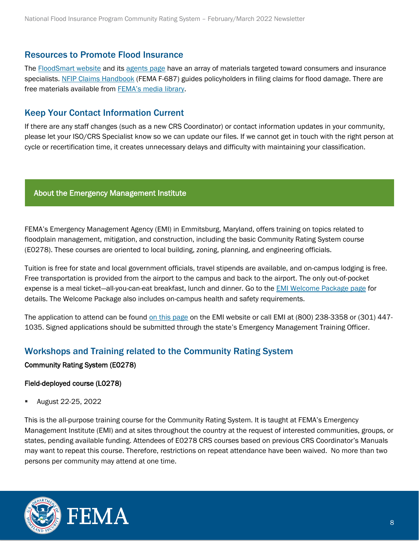### Resources to Promote Flood Insurance

The [FloodSmart website](https://www.floodsmart.gov/) and its [agents page](https://agents.floodsmart.gov/) have an array of materials targeted toward consumers and insurance specialists. [NFIP Claims Handbook](https://www.fema.gov/sites/default/files/2020-05/FINAL_ClaimsHandbook_10252017.pdf) (FEMA F-687) guides policyholders in filing claims for flood damage. There are free materials available from **[FEMA's media library](https://www.fema.gov/multimedia-library)**.

### Keep Your Contact Information Current

If there are any staff changes (such as a new CRS Coordinator) or contact information updates in your community, please let your ISO/CRS Specialist know so we can update our files. If we cannot get in touch with the right person at cycle or recertification time, it creates unnecessary delays and difficulty with maintaining your classification.

#### About the Emergency Management Institute

FEMA's Emergency Management Agency (EMI) in Emmitsburg, Maryland, offers training on topics related to floodplain management, mitigation, and construction, including the basic Community Rating System course (E0278). These courses are oriented to local building, zoning, planning, and engineering officials.

Tuition is free for state and local government officials, travel stipends are available, and on-campus lodging is free. Free transportation is provided from the airport to the campus and back to the airport. The only out-of-pocket expense is a meal ticket—all-you-can-eat breakfast, lunch and dinner. Go to the [EMI Welcome Package page](https://training.fema.gov/emiweb/downloads/e392educonf.doc) for details. The Welcome Package also includes on-campus health and safety requirements.

The application to attend can be found [on this page](https://training.fema.gov/apply/) on the EMI website or call EMI at (800) 238-3358 or (301) 447- 1035. Signed applications should be submitted through the state's Emergency Management Training Officer.

### Workshops and Training related to the Community Rating System

#### Community Rating System (E0278)

### Field-deployed course (L0278)

▪ August 22-25, 2022

This is the all-purpose training course for the Community Rating System. It is taught at FEMA's Emergency Management Institute (EMI) and at sites throughout the country at the request of interested communities, groups, or states, pending available funding. Attendees of E0278 CRS courses based on previous CRS Coordinator's Manuals may want to repeat this course. Therefore, restrictions on repeat attendance have been waived. No more than two persons per community may attend at one time.



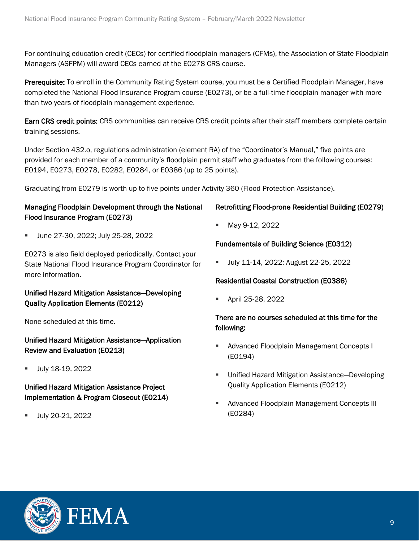For continuing education credit (CECs) for certified floodplain managers (CFMs), the Association of State Floodplain Managers (ASFPM) will award CECs earned at the E0278 CRS course.

Prerequisite: To enroll in the Community Rating System course, you must be a Certified Floodplain Manager, have completed the National Flood Insurance Program course (E0273), or be a full-time floodplain manager with more than two years of floodplain management experience.

Earn CRS credit points: CRS communities can receive CRS credit points after their staff members complete certain training sessions.

Under Section 432.o, regulations administration (element RA) of the "Coordinator's Manual," five points are provided for each member of a community's floodplain permit staff who graduates from the following courses: E0194, E0273, E0278, E0282, E0284, or E0386 (up to 25 points).

Graduating from E0279 is worth up to five points under Activity 360 (Flood Protection Assistance).

### Managing Floodplain Development through the National Flood Insurance Program (E0273)

▪ June 27-30, 2022; July 25-28, 2022

E0273 is also field deployed periodically. Contact your State National Flood Insurance Program Coordinator for more information.

### Unified Hazard Mitigation Assistance—Developing Quality Application Elements (E0212)

None scheduled at this time.

Unified Hazard Mitigation Assistance—Application Review and Evaluation (E0213)

■ July 18-19, 2022

Unified Hazard Mitigation Assistance Project Implementation & Program Closeout (E0214)

July 20-21, 2022

### Retrofitting Flood-prone Residential Building (E0279)

May 9-12, 2022

### Fundamentals of Building Science (E0312)

▪ July 11-14, 2022; August 22-25, 2022

### Residential Coastal Construction (E0386)

April 25-28, 2022

### There are no courses scheduled at this time for the following:

- Advanced Floodplain Management Concepts I (E0194)
- Unified Hazard Mitigation Assistance-Developing Quality Application Elements (E0212)
- Advanced Floodplain Management Concepts III (E0284)